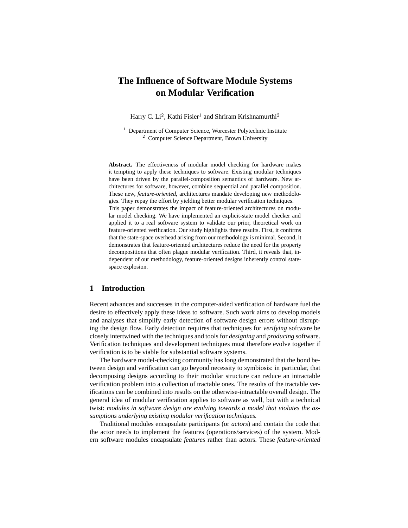# **The Influence of Software Module Systems on Modular Verification**

Harry C. Li<sup>2</sup>, Kathi Fisler<sup>1</sup> and Shriram Krishnamurthi<sup>2</sup>

<sup>1</sup> Department of Computer Science, Worcester Polytechnic Institute <sup>2</sup> Computer Science Department, Brown University

**Abstract.** The effectiveness of modular model checking for hardware makes it tempting to apply these techniques to software. Existing modular techniques have been driven by the parallel-composition semantics of hardware. New architectures for software, however, combine sequential and parallel composition. These new, *feature-oriented*, architectures mandate developing new methodologies. They repay the effort by yielding better modular verification techniques. This paper demonstrates the impact of feature-oriented architectures on modular model checking. We have implemented an explicit-state model checker and applied it to a real software system to validate our prior, theoretical work on feature-oriented verification. Our study highlights three results. First, it confirms that the state-space overhead arising from our methodology is minimal. Second, it demonstrates that feature-oriented architectures reduce the need for the property decompositions that often plague modular verification. Third, it reveals that, independent of our methodology, feature-oriented designs inherently control statespace explosion.

### **1 Introduction**

Recent advances and successes in the computer-aided verification of hardware fuel the desire to effectively apply these ideas to software. Such work aims to develop models and analyses that simplify early detection of software design errors without disrupting the design flow. Early detection requires that techniques for *verifying* software be closely intertwined with the techniques and tools for *designing* and *producing* software. Verification techniques and development techniques must therefore evolve together if verification is to be viable for substantial software systems.

The hardware model-checking community has long demonstrated that the bond between design and verification can go beyond necessity to symbiosis: in particular, that decomposing designs according to their modular structure can reduce an intractable verification problem into a collection of tractable ones. The results of the tractable verifications can be combined into results on the otherwise-intractable overall design. The general idea of modular verification applies to software as well, but with a technical twist: *modules in software design are evolving towards a model that violates the assumptions underlying existing modular verification techniques.*

Traditional modules encapsulate participants (or *actors*) and contain the code that the actor needs to implement the features (operations/services) of the system. Modern software modules encapsulate *features* rather than actors. These *feature-oriented*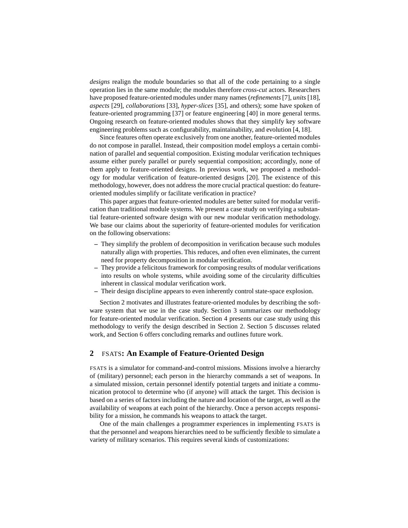*designs* realign the module boundaries so that all of the code pertaining to a single operation lies in the same module; the modules therefore *cross-cut* actors. Researchers have proposed feature-oriented modules under many names (*refinements*[7], *units* [18], *aspects* [29], *collaborations* [33], *hyper-slices* [35], and others); some have spoken of feature-oriented programming [37] or feature engineering [40] in more general terms. Ongoing research on feature-oriented modules shows that they simplify key software engineering problems such as configurability, maintainability, and evolution [4, 18].

Since features often operate exclusively from one another, feature-oriented modules do not compose in parallel. Instead, their composition model employs a certain combination of parallel and sequential composition. Existing modular verification techniques assume either purely parallel or purely sequential composition; accordingly, none of them apply to feature-oriented designs. In previous work, we proposed a methodology for modular verification of feature-oriented designs [20]. The existence of this methodology, however, does not address the more crucial practical question: do featureoriented modules simplify or facilitate verification in practice?

This paper argues that feature-oriented modules are better suited for modular verification than traditional module systems. We present a case study on verifying a substantial feature-oriented software design with our new modular verification methodology. We base our claims about the superiority of feature-oriented modules for verification on the following observations:

- **–** They simplify the problem of decomposition in verification because such modules naturally align with properties. This reduces, and often even eliminates, the current need for property decomposition in modular verification.
- **–** They provide a felicitous framework for composing results of modular verifications into results on whole systems, while avoiding some of the circularity difficulties inherent in classical modular verification work.
- **–** Their design discipline appears to even inherently control state-space explosion.

Section 2 motivates and illustrates feature-oriented modules by describing the software system that we use in the case study. Section 3 summarizes our methodology for feature-oriented modular verification. Section 4 presents our case study using this methodology to verify the design described in Section 2. Section 5 discusses related work, and Section 6 offers concluding remarks and outlines future work.

# **2** FSATS**: An Example of Feature-Oriented Design**

FSATS is a simulator for command-and-control missions. Missions involve a hierarchy of (military) personnel; each person in the hierarchy commands a set of weapons. In a simulated mission, certain personnel identify potential targets and initiate a communication protocol to determine who (if anyone) will attack the target. This decision is based on a series of factors including the nature and location of the target, as well as the availability of weapons at each point of the hierarchy. Once a person accepts responsibility for a mission, he commands his weapons to attack the target.

One of the main challenges a programmer experiences in implementing FSATS is that the personnel and weapons hierarchies need to be sufficiently flexible to simulate a variety of military scenarios. This requires several kinds of customizations: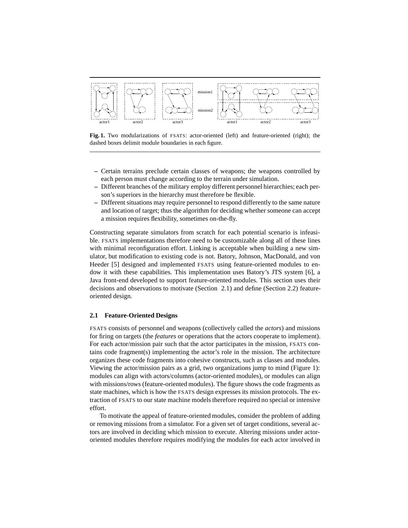

**Fig. 1.** Two modularizations of FSATS: actor-oriented (left) and feature-oriented (right); the dashed boxes delimit module boundaries in each figure.

- **–** Certain terrains preclude certain classes of weapons; the weapons controlled by each person must change according to the terrain under simulation.
- **–** Different branches of the military employ different personnel hierarchies; each person's superiors in the hierarchy must therefore be flexible.
- **–** Different situations may require personnel to respond differently to the same nature and location of target; thus the algorithm for deciding whether someone can accept a mission requires flexibility, sometimes on-the-fly.

Constructing separate simulators from scratch for each potential scenario is infeasible. FSATS implementations therefore need to be customizable along all of these lines with minimal reconfiguration effort. Linking is acceptable when building a new simulator, but modification to existing code is not. Batory, Johnson, MacDonald, and von Heeder [5] designed and implemented FSATS using feature-oriented modules to endow it with these capabilities. This implementation uses Batory's JTS system [6], a Java front-end developed to support feature-oriented modules. This section uses their decisions and observations to motivate (Section 2.1) and define (Section 2.2) featureoriented design.

#### **2.1 Feature-Oriented Designs**

FSATS consists of personnel and weapons (collectively called the *actors*) and missions for firing on targets (the *features* or operations that the actors cooperate to implement). For each actor/mission pair such that the actor participates in the mission, FSATS contains code fragment(s) implementing the actor's role in the mission. The architecture organizes these code fragments into cohesive constructs, such as classes and modules. Viewing the actor/mission pairs as a grid, two organizations jump to mind (Figure 1): modules can align with actors/columns (actor-oriented modules), or modules can align with missions/rows (feature-oriented modules). The figure shows the code fragments as state machines, which is how the FSATS design expresses its mission protocols. The extraction of FSATS to our state machine models therefore required no special or intensive effort.

To motivate the appeal of feature-oriented modules, consider the problem of adding or removing missions from a simulator. For a given set of target conditions, several actors are involved in deciding which mission to execute. Altering missions under actororiented modules therefore requires modifying the modules for each actor involved in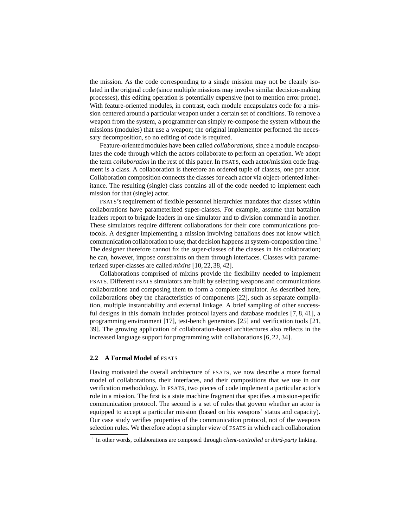the mission. As the code corresponding to a single mission may not be cleanly isolated in the original code (since multiple missions may involve similar decision-making processes), this editing operation is potentially expensive (not to mention error prone). With feature-oriented modules, in contrast, each module encapsulates code for a mission centered around a particular weapon under a certain set of conditions. To remove a weapon from the system, a programmer can simply re-compose the system without the missions (modules) that use a weapon; the original implementor performed the necessary decomposition, so no editing of code is required.

Feature-oriented modules have been called *collaborations*, since a module encapsulates the code through which the actors collaborate to perform an operation. We adopt the term *collaboration* in the rest of this paper. In FSATS, each actor/mission code fragment is a class. A collaboration is therefore an ordered tuple of classes, one per actor. Collaboration composition connects the classes for each actor via object-oriented inheritance. The resulting (single) class contains all of the code needed to implement each mission for that (single) actor.

FSATS's requirement of flexible personnel hierarchies mandates that classes within collaborations have parameterized super-classes. For example, assume that battalion leaders report to brigade leaders in one simulator and to division command in another. These simulators require different collaborations for their core communications protocols. A designer implementing a mission involving battalions does not know which communication collaboration to use; that decision happens at system-composition time.<sup>1</sup> The designer therefore cannot fix the super-classes of the classes in his collaboration; he can, however, impose constraints on them through interfaces. Classes with parameterized super-classes are called *mixins* [10, 22, 38, 42].

Collaborations comprised of mixins provide the flexibility needed to implement FSATS. Different FSATS simulators are built by selecting weapons and communications collaborations and composing them to form a complete simulator. As described here, collaborations obey the characteristics of components [22], such as separate compilation, multiple instantiability and external linkage. A brief sampling of other successful designs in this domain includes protocol layers and database modules [7, 8, 41], a programming environment [17], test-bench generators [25] and verification tools [21, 39]. The growing application of collaboration-based architectures also reflects in the increased language support for programming with collaborations [6, 22, 34].

#### **2.2 A Formal Model of** FSATS

Having motivated the overall architecture of FSATS, we now describe a more formal model of collaborations, their interfaces, and their compositions that we use in our verification methodology. In FSATS, two pieces of code implement a particular actor's role in a mission. The first is a state machine fragment that specifies a mission-specific communication protocol. The second is a set of rules that govern whether an actor is equipped to accept a particular mission (based on his weapons' status and capacity). Our case study verifies properties of the communication protocol, not of the weapons selection rules. We therefore adopt a simpler view of FSATS in which each collaboration

<sup>1</sup> In other words, collaborations are composed through *client-controlled* or *third-party* linking.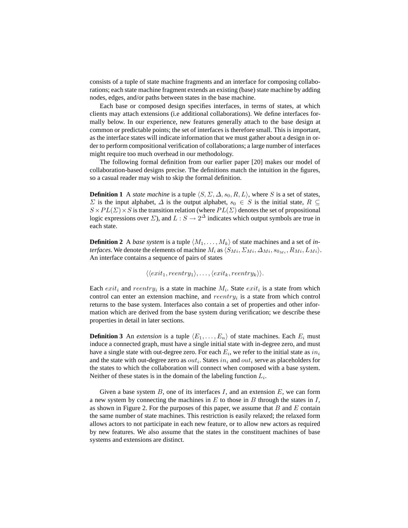consists of a tuple of state machine fragments and an interface for composing collaborations; each state machine fragment extends an existing (base) state machine by adding nodes, edges, and/or paths between states in the base machine.

Each base or composed design specifies interfaces, in terms of states, at which clients may attach extensions (i.e additional collaborations). We define interfaces formally below. In our experience, new features generally attach to the base design at common or predictable points; the set of interfaces is therefore small. This is important, as the interface states will indicate information that we must gather about a design in order to perform compositional verification of collaborations; a large number of interfaces might require too much overhead in our methodology.

The following formal definition from our earlier paper [20] makes our model of collaboration-based designs precise. The definitions match the intuition in the figures, so a casual reader may wish to skip the formal definition.

**Definition 1** A *state machine* is a tuple  $\langle S, \Sigma, \Delta, s_0, R, L \rangle$ , where S is a set of states,  $\Sigma$  is the input alphabet,  $\Delta$  is the output alphabet,  $s_0 \in S$  is the initial state,  $R \subseteq$  $S \times PL(\Sigma) \times S$  is the transition relation (where  $PL(\Sigma)$  denotes the set of propositional logic expressions over  $\Sigma$ ), and  $L : S \to 2^{\Delta}$  indicates which output symbols are true in each state.

**Definition 2** A *base system* is a tuple  $\langle M_1, \ldots, M_k \rangle$  of state machines and a set of *interfaces*. We denote the elements of machine  $M_i$  as  $\langle S_{Mi}, \Sigma_{Mi}, \Delta_{Mi}, s_{0mi}, R_{Mi}, L_{Mi} \rangle$ . An interface contains a sequence of pairs of states

 $\langle \langle exit_1, reentry_1 \rangle, \ldots, \langle exit_k, reentry_k \rangle \rangle.$ 

Each  $exit_i$  and  $reentry_i$  is a state in machine  $M_i$ . State  $exit_i$  is a state from which control can enter an extension machine, and  $reentry_i$  is a state from which control returns to the base system. Interfaces also contain a set of properties and other information which are derived from the base system during verification; we describe these properties in detail in later sections.

**Definition 3** An *extension* is a tuple  $\langle E_1, \ldots, E_n \rangle$  of state machines. Each  $E_i$  must induce a connected graph, must have a single initial state with in-degree zero, and must have a single state with out-degree zero. For each  $E_i$ , we refer to the initial state as  $in_i$ and the state with out-degree zero as  $out_i$ . States  $in_i$  and  $out_i$  serve as placeholders for the states to which the collaboration will connect when composed with a base system. Neither of these states is in the domain of the labeling function  $L_i$ .

Given a base system  $B$ , one of its interfaces  $I$ , and an extension  $E$ , we can form a new system by connecting the machines in  $E$  to those in  $B$  through the states in  $I$ , as shown in Figure 2. For the purposes of this paper, we assume that  $B$  and  $E$  contain the same number of state machines. This restriction is easily relaxed; the relaxed form allows actors to not participate in each new feature, or to allow new actors as required by new features. We also assume that the states in the constituent machines of base systems and extensions are distinct.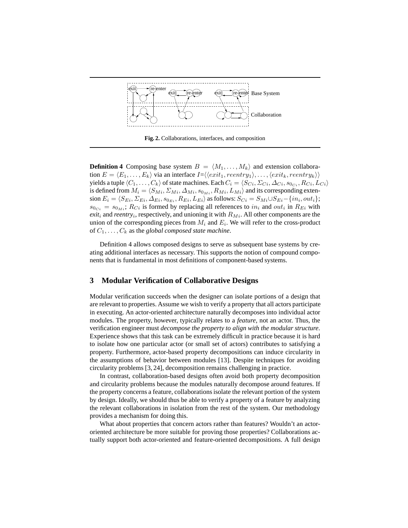

**Fig. 2.** Collaborations, interfaces, and composition

**Definition 4** Composing base system  $B = \langle M_1, \ldots, M_k \rangle$  and extension collaboration  $E = \langle E_1,\ldots,E_k \rangle$  via an interface  $I = \langle \langle exit_1, reentry_1 \rangle, \ldots, \langle exit_k, reentry_k \rangle \rangle$ yields a tuple  $\langle C_1,\ldots,C_k \rangle$  of state machines. Each  $C_i = \langle S_{Ci}, \Sigma_{Ci}, \Delta_{Ci}, s_{0C_i}, R_{Ci}, L_{Ci} \rangle$ is defined from  $M_i = \langle S_{Mi}, \Sigma_{Mi}, \Delta_{Mi}, s_{0Mi}, R_{Mi}, L_{Mi} \rangle$  and its corresponding extension  $E_i = \langle S_{E_i}, \Sigma_{E_i}, \Delta_{E_i}, s_{0_{E_i}}, R_{E_i}, L_{E_i} \rangle$  as follows:  $S_{Ci} = S_{Mi} \cup S_{E_i} - \{in_i, out_i\};$  $s_{0_{Ci}} = s_{0_{Mi}}$ ;  $R_{Ci}$  is formed by replacing all references to  $in_i$  and  $out_i$  in  $R_{E_i}$  with  $exit_i$  and *reentry<sub>i</sub>*, respectively, and unioning it with  $R_{Mi}$ . All other components are the union of the corresponding pieces from  $M_i$  and  $E_i$ . We will refer to the cross-product of  $C_1, \ldots, C_k$  as the *global composed state machine*.

Definition 4 allows composed designs to serve as subsequent base systems by creating additional interfaces as necessary. This supports the notion of compound components that is fundamental in most definitions of component-based systems.

# **3 Modular Verification of Collaborative Designs**

Modular verification succeeds when the designer can isolate portions of a design that are relevant to properties. Assume we wish to verify a property that all actors participate in executing. An actor-oriented architecture naturally decomposes into individual actor modules. The property, however, typically relates to a *feature*, not an actor. Thus, the verification engineer must *decompose the property to align with the modular structure*. Experience shows that this task can be extremely difficult in practice because it is hard to isolate how one particular actor (or small set of actors) contributes to satisfying a property. Furthermore, actor-based property decompositions can induce circularity in the assumptions of behavior between modules [13]. Despite techniques for avoiding circularity problems [3, 24], decomposition remains challenging in practice.

In contrast, collaboration-based designs often avoid both property decomposition and circularity problems because the modules naturally decompose around features. If the property concerns a feature, collaborations isolate the relevant portion of the system by design. Ideally, we should thus be able to verify a property of a feature by analyzing the relevant collaborations in isolation from the rest of the system. Our methodology provides a mechanism for doing this.

What about properties that concern actors rather than features? Wouldn't an actororiented architecture be more suitable for proving those properties? Collaborations actually support both actor-oriented and feature-oriented decompositions. A full design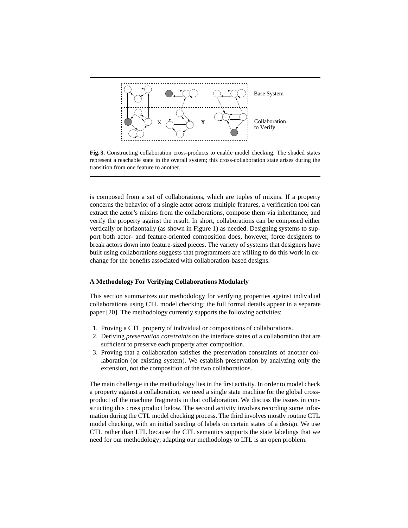

**Fig. 3.** Constructing collaboration cross-products to enable model checking. The shaded states represent a reachable state in the overall system; this cross-collaboration state arises during the transition from one feature to another.

is composed from a set of collaborations, which are tuples of mixins. If a property concerns the behavior of a single actor across multiple features, a verification tool can extract the actor's mixins from the collaborations, compose them via inheritance, and verify the property against the result. In short, collaborations can be composed either vertically or horizontally (as shown in Figure 1) as needed. Designing systems to support both actor- and feature-oriented composition does, however, force designers to break actors down into feature-sized pieces. The variety of systems that designers have built using collaborations suggests that programmers are willing to do this work in exchange for the benefits associated with collaboration-based designs.

#### **A Methodology For Verifying Collaborations Modularly**

This section summarizes our methodology for verifying properties against individual collaborations using CTL model checking; the full formal details appear in a separate paper [20]. The methodology currently supports the following activities:

- 1. Proving a CTL property of individual or compositions of collaborations.
- 2. Deriving *preservation constraints* on the interface states of a collaboration that are sufficient to preserve each property after composition.
- 3. Proving that a collaboration satisfies the preservation constraints of another collaboration (or existing system). We establish preservation by analyzing only the extension, not the composition of the two collaborations.

The main challenge in the methodology lies in the first activity. In order to model check a property against a collaboration, we need a single state machine for the global crossproduct of the machine fragments in that collaboration. We discuss the issues in constructing this cross product below. The second activity involves recording some information during the CTL model checking process. The third involves mostly routine CTL model checking, with an initial seeding of labels on certain states of a design. We use CTL rather than LTL because the CTL semantics supports the state labelings that we need for our methodology; adapting our methodology to LTL is an open problem.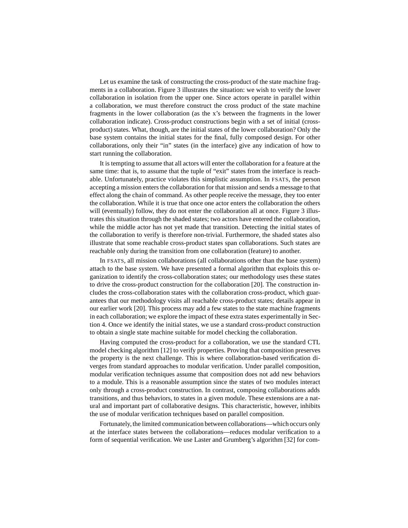Let us examine the task of constructing the cross-product of the state machine fragments in a collaboration. Figure 3 illustrates the situation: we wish to verify the lower collaboration in isolation from the upper one. Since actors operate in parallel within a collaboration, we must therefore construct the cross product of the state machine fragments in the lower collaboration (as the x's between the fragments in the lower collaboration indicate). Cross-product constructions begin with a set of initial (crossproduct) states. What, though, are the initial states of the lower collaboration? Only the base system contains the initial states for the final, fully composed design. For other collaborations, only their "in" states (in the interface) give any indication of how to start running the collaboration.

It is tempting to assume that all actors will enter the collaboration for a feature at the same time: that is, to assume that the tuple of "exit" states from the interface is reachable. Unfortunately, practice violates this simplistic assumption. In FSATS, the person accepting a mission enters the collaboration for that mission and sends a message to that effect along the chain of command. As other people receive the message, they too enter the collaboration. While it is true that once one actor enters the collaboration the others will (eventually) follow, they do not enter the collaboration all at once. Figure 3 illustrates this situation through the shaded states; two actors have entered the collaboration, while the middle actor has not yet made that transition. Detecting the initial states of the collaboration to verify is therefore non-trivial. Furthermore, the shaded states also illustrate that some reachable cross-product states span collaborations. Such states are reachable only during the transition from one collaboration (feature) to another.

In FSATS, all mission collaborations (all collaborations other than the base system) attach to the base system. We have presented a formal algorithm that exploits this organization to identify the cross-collaboration states; our methodology uses these states to drive the cross-product construction for the collaboration [20]. The construction includes the cross-collaboration states with the collaboration cross-product, which guarantees that our methodology visits all reachable cross-product states; details appear in our earlier work [20]. This process may add a few states to the state machine fragments in each collaboration; we explore the impact of these extra states experimentally in Section 4. Once we identify the initial states, we use a standard cross-product construction to obtain a single state machine suitable for model checking the collaboration.

Having computed the cross-product for a collaboration, we use the standard CTL model checking algorithm [12] to verify properties. Proving that composition preserves the property is the next challenge. This is where collaboration-based verification diverges from standard approaches to modular verification. Under parallel composition, modular verification techniques assume that composition does not add new behaviors to a module. This is a reasonable assumption since the states of two modules interact only through a cross-product construction. In contrast, composing collaborations adds transitions, and thus behaviors, to states in a given module. These extensions are a natural and important part of collaborative designs. This characteristic, however, inhibits the use of modular verification techniques based on parallel composition.

Fortunately, the limited communication between collaborations—which occurs only at the interface states between the collaborations—reduces modular verification to a form of sequential verification. We use Laster and Grumberg's algorithm [32] for com-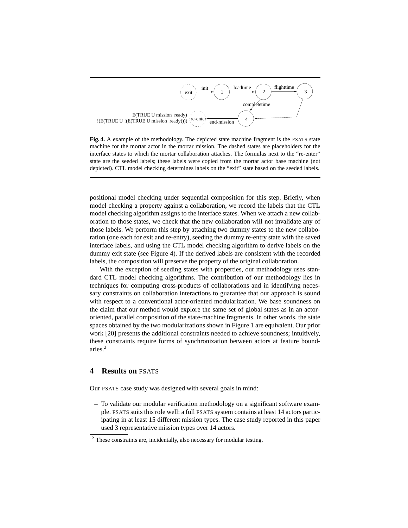

**Fig. 4.** A example of the methodology. The depicted state machine fragment is the FSATS state machine for the mortar actor in the mortar mission. The dashed states are placeholders for the interface states to which the mortar collaboration attaches. The formulas next to the "re-enter" state are the seeded labels; these labels were copied from the mortar actor base machine (not depicted). CTL model checking determines labels on the "exit" state based on the seeded labels.

positional model checking under sequential composition for this step. Briefly, when model checking a property against a collaboration, we record the labels that the CTL model checking algorithm assigns to the interface states. When we attach a new collaboration to those states, we check that the new collaboration will not invalidate any of those labels. We perform this step by attaching two dummy states to the new collaboration (one each for exit and re-entry), seeding the dummy re-entry state with the saved interface labels, and using the CTL model checking algorithm to derive labels on the dummy exit state (see Figure 4). If the derived labels are consistent with the recorded labels, the composition will preserve the property of the original collaboration.

With the exception of seeding states with properties, our methodology uses standard CTL model checking algorithms. The contribution of our methodology lies in techniques for computing cross-products of collaborations and in identifying necessary constraints on collaboration interactions to guarantee that our approach is sound with respect to a conventional actor-oriented modularization. We base soundness on the claim that our method would explore the same set of global states as in an actororiented, parallel composition of the state-machine fragments. In other words, the state spaces obtained by the two modularizations shown in Figure 1 are equivalent. Our prior work [20] presents the additional constraints needed to achieve soundness; intuitively, these constraints require forms of synchronization between actors at feature boundaries.<sup>2</sup>

# **4 Results on** FSATS

Our FSATS case study was designed with several goals in mind:

**–** To validate our modular verification methodology on a significant software example. FSATS suits this role well: a full FSATS system contains at least 14 actors participating in at least 15 different mission types. The case study reported in this paper used 3 representative mission types over 14 actors.

<sup>&</sup>lt;sup>2</sup> These constraints are, incidentally, also necessary for modular testing.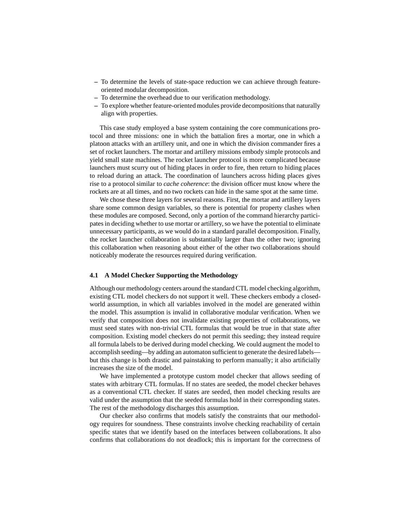- **–** To determine the levels of state-space reduction we can achieve through featureoriented modular decomposition.
- **–** To determine the overhead due to our verification methodology.
- **–** To explore whether feature-oriented modules provide decompositions that naturally align with properties.

This case study employed a base system containing the core communications protocol and three missions: one in which the battalion fires a mortar, one in which a platoon attacks with an artillery unit, and one in which the division commander fires a set of rocket launchers. The mortar and artillery missions embody simple protocols and yield small state machines. The rocket launcher protocol is more complicated because launchers must scurry out of hiding places in order to fire, then return to hiding places to reload during an attack. The coordination of launchers across hiding places gives rise to a protocol similar to *cache coherence*: the division officer must know where the rockets are at all times, and no two rockets can hide in the same spot at the same time.

We chose these three layers for several reasons. First, the mortar and artillery layers share some common design variables, so there is potential for property clashes when these modules are composed. Second, only a portion of the command hierarchy participates in deciding whether to use mortar or artillery, so we have the potential to eliminate unnecessary participants, as we would do in a standard parallel decomposition. Finally, the rocket launcher collaboration is substantially larger than the other two; ignoring this collaboration when reasoning about either of the other two collaborations should noticeably moderate the resources required during verification.

#### **4.1 A Model Checker Supporting the Methodology**

Although our methodology centers around the standard CTL model checking algorithm, existing CTL model checkers do not support it well. These checkers embody a closedworld assumption, in which all variables involved in the model are generated within the model. This assumption is invalid in collaborative modular verification. When we verify that composition does not invalidate existing properties of collaborations, we must seed states with non-trivial CTL formulas that would be true in that state after composition. Existing model checkers do not permit this seeding; they instead require all formula labels to be derived during model checking. We could augment the model to accomplish seeding—by adding an automaton sufficient to generate the desired labels but this change is both drastic and painstaking to perform manually; it also artificially increases the size of the model.

We have implemented a prototype custom model checker that allows seeding of states with arbitrary CTL formulas. If no states are seeded, the model checker behaves as a conventional CTL checker. If states are seeded, then model checking results are valid under the assumption that the seeded formulas hold in their corresponding states. The rest of the methodology discharges this assumption.

Our checker also confirms that models satisfy the constraints that our methodology requires for soundness. These constraints involve checking reachability of certain specific states that we identify based on the interfaces between collaborations. It also confirms that collaborations do not deadlock; this is important for the correctness of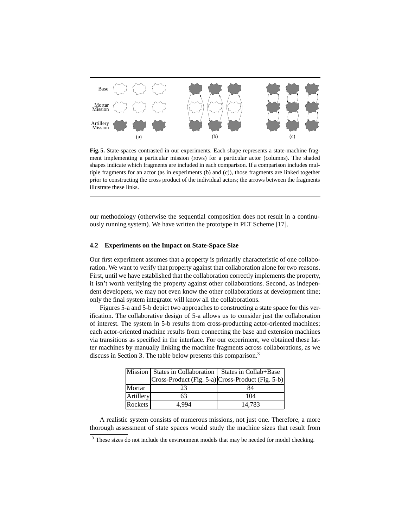

**Fig. 5.** State-spaces contrasted in our experiments. Each shape represents a state-machine fragment implementing a particular mission (rows) for a particular actor (columns). The shaded shapes indicate which fragments are included in each comparison. If a comparison includes multiple fragments for an actor (as in experiments (b) and (c)), those fragments are linked together prior to constructing the cross product of the individual actors; the arrows between the fragments illustrate these links.

our methodology (otherwise the sequential composition does not result in a continuously running system). We have written the prototype in PLT Scheme [17].

#### **4.2 Experiments on the Impact on State-Space Size**

Our first experiment assumes that a property is primarily characteristic of one collaboration. We want to verify that property against that collaboration alone for two reasons. First, until we have established that the collaboration correctly implements the property, it isn't worth verifying the property against other collaborations. Second, as independent developers, we may not even know the other collaborations at development time; only the final system integrator will know all the collaborations.

Figures 5-a and 5-b depict two approaches to constructing a state space for this verification. The collaborative design of 5-a allows us to consider just the collaboration of interest. The system in 5-b results from cross-producting actor-oriented machines; each actor-oriented machine results from connecting the base and extension machines via transitions as specified in the interface. For our experiment, we obtained these latter machines by manually linking the machine fragments across collaborations, as we discuss in Section 3. The table below presents this comparison.<sup>3</sup>

|           | Mission States in Collaboration   States in Collab+Base |        |
|-----------|---------------------------------------------------------|--------|
|           | Cross-Product (Fig. 5-a) Cross-Product (Fig. 5-b)       |        |
| Mortar    | 23                                                      | 84     |
| Artillery | 63                                                      | 104    |
| Rockets   | 4.994                                                   | 14.783 |

A realistic system consists of numerous missions, not just one. Therefore, a more thorough assessment of state spaces would study the machine sizes that result from

<sup>&</sup>lt;sup>3</sup> These sizes do not include the environment models that may be needed for model checking.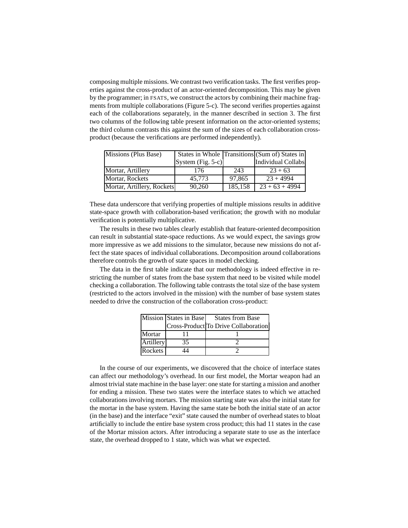composing multiple missions. We contrast two verification tasks. The first verifies properties against the cross-product of an actor-oriented decomposition. This may be given by the programmer; in FSATS, we construct the actors by combining their machine fragments from multiple collaborations (Figure 5-c). The second verifies properties against each of the collaborations separately, in the manner described in section 3. The first two columns of the following table present information on the actor-oriented systems; the third column contrasts this against the sum of the sizes of each collaboration crossproduct (because the verifications are performed independently).

| Missions (Plus Base)       |                     |         | States in Whole Transitions (Sum of) States in |
|----------------------------|---------------------|---------|------------------------------------------------|
|                            | System $(Fig. 5-c)$ |         | Individual Collabs                             |
| Mortar, Artillery          | 176                 | 243     | $23 + 63$                                      |
| Mortar, Rockets            | 45,773              | 97.865  | $23 + 4994$                                    |
| Mortar, Artillery, Rockets | 90,260              | 185,158 | $23 + 63 + 4994$                               |

These data underscore that verifying properties of multiple missions results in additive state-space growth with collaboration-based verification; the growth with no modular verification is potentially multiplicative.

The results in these two tables clearly establish that feature-oriented decomposition can result in substantial state-space reductions. As we would expect, the savings grow more impressive as we add missions to the simulator, because new missions do not affect the state spaces of individual collaborations. Decomposition around collaborations therefore controls the growth of state spaces in model checking.

The data in the first table indicate that our methodology is indeed effective in restricting the number of states from the base system that need to be visited while model checking a collaboration. The following table contrasts the total size of the base system (restricted to the actors involved in the mission) with the number of base system states needed to drive the construction of the collaboration cross-product:

|           |    | Mission States in Base States from Base |
|-----------|----|-----------------------------------------|
|           |    | Cross-Product To Drive Collaboration    |
| Mortar    |    |                                         |
| Artillery | 35 |                                         |
| Rockets   |    |                                         |

In the course of our experiments, we discovered that the choice of interface states can affect our methodology's overhead. In our first model, the Mortar weapon had an almost trivial state machine in the base layer: one state for starting a mission and another for ending a mission. These two states were the interface states to which we attached collaborations involving mortars. The mission starting state was also the initial state for the mortar in the base system. Having the same state be both the initial state of an actor (in the base) and the interface "exit" state caused the number of overhead states to bloat artificially to include the entire base system cross product; this had 11 states in the case of the Mortar mission actors. After introducing a separate state to use as the interface state, the overhead dropped to 1 state, which was what we expected.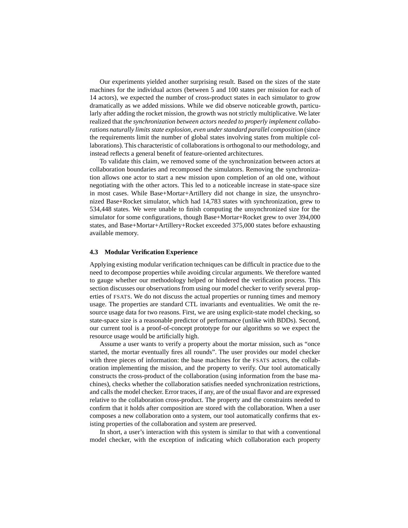Our experiments yielded another surprising result. Based on the sizes of the state machines for the individual actors (between 5 and 100 states per mission for each of 14 actors), we expected the number of cross-product states in each simulator to grow dramatically as we added missions. While we did observe noticeable growth, particularly after adding the rocket mission, the growth was not strictly multiplicative. We later realized that *the synchronization between actors needed to properly implement collaborations naturally limits state explosion, even under standard parallel composition* (since the requirements limit the number of global states involving states from multiple collaborations). This characteristic of collaborations is orthogonal to our methodology, and instead reflects a general benefit of feature-oriented architectures.

To validate this claim, we removed some of the synchronization between actors at collaboration boundaries and recomposed the simulators. Removing the synchronization allows one actor to start a new mission upon completion of an old one, without negotiating with the other actors. This led to a noticeable increase in state-space size in most cases. While Base+Mortar+Artillery did not change in size, the unsynchronized Base+Rocket simulator, which had 14,783 states with synchronization, grew to 534,448 states. We were unable to finish computing the unsynchronized size for the simulator for some configurations, though Base+Mortar+Rocket grew to over 394,000 states, and Base+Mortar+Artillery+Rocket exceeded 375,000 states before exhausting available memory.

#### **4.3 Modular Verification Experience**

Applying existing modular verification techniques can be difficult in practice due to the need to decompose properties while avoiding circular arguments. We therefore wanted to gauge whether our methodology helped or hindered the verification process. This section discusses our observations from using our model checker to verify several properties of FSATS. We do not discuss the actual properties or running times and memory usage. The properties are standard CTL invariants and eventualities. We omit the resource usage data for two reasons. First, we are using explicit-state model checking, so state-space size is a reasonable predictor of performance (unlike with BDDs). Second, our current tool is a proof-of-concept prototype for our algorithms so we expect the resource usage would be artificially high.

Assume a user wants to verify a property about the mortar mission, such as "once started, the mortar eventually fires all rounds". The user provides our model checker with three pieces of information: the base machines for the FSATS actors, the collaboration implementing the mission, and the property to verify. Our tool automatically constructs the cross-product of the collaboration (using information from the base machines), checks whether the collaboration satisfies needed synchronization restrictions, and calls the model checker. Error traces, if any, are of the usual flavor and are expressed relative to the collaboration cross-product. The property and the constraints needed to confirm that it holds after composition are stored with the collaboration. When a user composes a new collaboration onto a system, our tool automatically confirms that existing properties of the collaboration and system are preserved.

In short, a user's interaction with this system is similar to that with a conventional model checker, with the exception of indicating which collaboration each property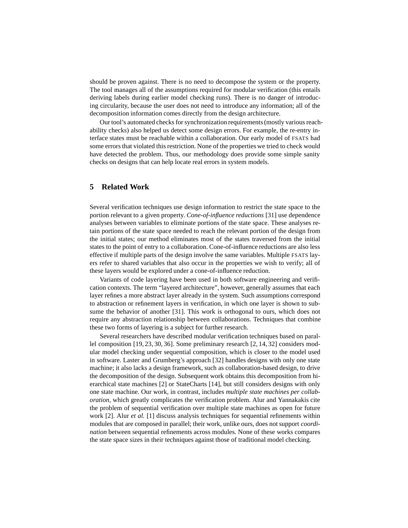should be proven against. There is no need to decompose the system or the property. The tool manages all of the assumptions required for modular verification (this entails deriving labels during earlier model checking runs). There is no danger of introducing circularity, because the user does not need to introduce any information; all of the decomposition information comes directly from the design architecture.

Our tool's automated checks for synchronization requirements (mostly various reachability checks) also helped us detect some design errors. For example, the re-entry interface states must be reachable within a collaboration. Our early model of FSATS had some errors that violated this restriction. None of the properties we tried to check would have detected the problem. Thus, our methodology does provide some simple sanity checks on designs that can help locate real errors in system models.

# **5 Related Work**

Several verification techniques use design information to restrict the state space to the portion relevant to a given property. *Cone-of-influence reductions* [31] use dependence analyses between variables to eliminate portions of the state space. These analyses retain portions of the state space needed to reach the relevant portion of the design from the initial states; our method eliminates most of the states traversed from the initial states to the point of entry to a collaboration. Cone-of-influence reductions are also less effective if multiple parts of the design involve the same variables. Multiple FSATS layers refer to shared variables that also occur in the properties we wish to verify; all of these layers would be explored under a cone-of-influence reduction.

Variants of code layering have been used in both software engineering and verification contexts. The term "layered architecture", however, generally assumes that each layer refines a more abstract layer already in the system. Such assumptions correspond to abstraction or refinement layers in verification, in which one layer is shown to subsume the behavior of another [31]. This work is orthogonal to ours, which does not require any abstraction relationship between collaborations. Techniques that combine these two forms of layering is a subject for further research.

Several researchers have described modular verification techniques based on parallel composition [19, 23, 30, 36]. Some preliminary research [2, 14, 32] considers modular model checking under sequential composition, which is closer to the model used in software. Laster and Grumberg's approach [32] handles designs with only one state machine; it also lacks a design framework, such as collaboration-based design, to drive the decomposition of the design. Subsequent work obtains this decomposition from hierarchical state machines [2] or StateCharts [14], but still considers designs with only one state machine. Our work, in contrast, includes *multiple state machines per collaboration*, which greatly complicates the verification problem. Alur and Yannakakis cite the problem of sequential verification over multiple state machines as open for future work [2]. Alur *et al.* [1] discuss analysis techniques for sequential refinements within modules that are composed in parallel; their work, unlike ours, does not support *coordination* between sequential refinements across modules. None of these works compares the state space sizes in their techniques against those of traditional model checking.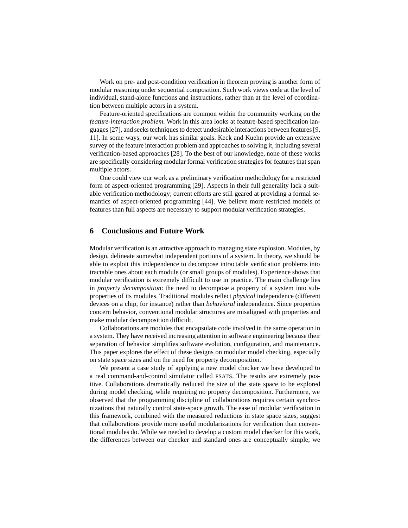Work on pre- and post-condition verification in theorem proving is another form of modular reasoning under sequential composition. Such work views code at the level of individual, stand-alone functions and instructions, rather than at the level of coordination between multiple actors in a system.

Feature-oriented specifications are common within the community working on the *feature-interaction problem*. Work in this area looks at feature-based specification languages [27], and seeks techniques to detect undesirable interactions between features [9, 11]. In some ways, our work has similar goals. Keck and Kuehn provide an extensive survey of the feature interaction problem and approaches to solving it, including several verification-based approaches [28]. To the best of our knowledge, none of these works are specifically considering modular formal verification strategies for features that span multiple actors.

One could view our work as a preliminary verification methodology for a restricted form of aspect-oriented programming [29]. Aspects in their full generality lack a suitable verification methodology; current efforts are still geared at providing a formal semantics of aspect-oriented programming [44]. We believe more restricted models of features than full aspects are necessary to support modular verification strategies.

# **6 Conclusions and Future Work**

Modular verification is an attractive approach to managing state explosion. Modules, by design, delineate somewhat independent portions of a system. In theory, we should be able to exploit this independence to decompose intractable verification problems into tractable ones about each module (or small groups of modules). Experience shows that modular verification is extremely difficult to use in practice. The main challenge lies in *property decomposition*: the need to decompose a property of a system into subproperties of its modules. Traditional modules reflect *physical* independence (different devices on a chip, for instance) rather than *behavioral* independence. Since properties concern behavior, conventional modular structures are misaligned with properties and make modular decomposition difficult.

Collaborations are modules that encapsulate code involved in the same operation in a system. They have received increasing attention in software engineering because their separation of behavior simplifies software evolution, configuration, and maintenance. This paper explores the effect of these designs on modular model checking, especially on state space sizes and on the need for property decomposition.

We present a case study of applying a new model checker we have developed to a real command-and-control simulator called FSATS. The results are extremely positive. Collaborations dramatically reduced the size of the state space to be explored during model checking, while requiring no property decomposition. Furthermore, we observed that the programming discipline of collaborations requires certain synchronizations that naturally control state-space growth. The ease of modular verification in this framework, combined with the measured reductions in state space sizes, suggest that collaborations provide more useful modularizations for verification than conventional modules do. While we needed to develop a custom model checker for this work, the differences between our checker and standard ones are conceptually simple; we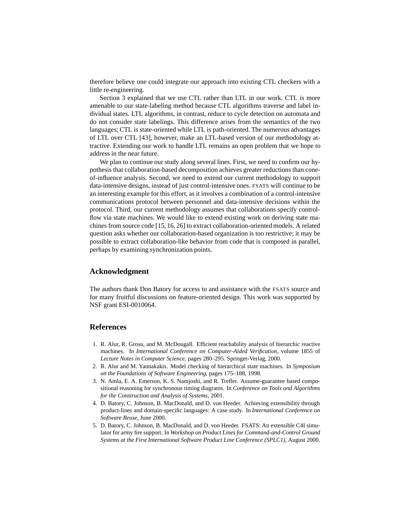therefore believe one could integrate our approach into existing CTL checkers with a little re-engineering.

Section 3 explained that we use CTL rather than LTL in our work. CTL is more amenable to our state-labeling method because CTL algorithms traverse and label individual states. LTL algorithms, in contrast, reduce to cycle detection on automata and do not consider state labelings. This difference arises from the semantics of the two languages; CTL is state-oriented while LTL is path-oriented. The numerous advantages of LTL over CTL [43], however, make an LTL-based version of our methodology attractive. Extending our work to handle LTL remains an open problem that we hope to address in the near future.

We plan to continue our study along several lines. First, we need to confirm our hypothesis that collaboration-based decomposition achieves greater reductions than coneof-influence analysis. Second, we need to extend our current methodology to support data-intensive designs, instead of just control-intensive ones. FSATS will continue to be an interesting example for this effort, as it involves a combination of a control-intensive communications protocol between personnel and data-intensive decisions within the protocol. Third, our current methodology assumes that collaborations specify controlflow via state machines. We would like to extend existing work on deriving state machines from source code [15, 16, 26] to extract collaboration-oriented models. A related question asks whether our collaboration-based organization is too restrictive; it may be possible to extract collaboration-like behavior from code that is composed in parallel, perhaps by examining synchronization points.

# **Acknowledgment**

The authors thank Don Batory for access to and assistance with the FSATS source and for many fruitful discussions on feature-oriented design. This work was supported by NSF grant ESI-0010064.

# **References**

- 1. R. Alur, R. Grosu, and M. McDougall. Efficient reachability analysis of hierarchic reactive machines. In *International Conference on Computer-Aided Verification*, volume 1855 of *Lecture Notes in Computer Science*, pages 280–295. Springer-Verlag, 2000.
- 2. R. Alur and M. Yannakakis. Model checking of hierarchical state machines. In *Symposium on the Foundations of Software Engineering*, pages 175–188, 1998.
- 3. N. Amla, E. A. Emerson, K. S. Namjoshi, and R. Trefler. Assume-guarantee based compositional reasoning for synchronous timing diagrams. In *Conference on Tools and Algorithms for the Construction and Analysis of Systems*, 2001.
- 4. D. Batory, C. Johnson, B. MacDonald, and D. von Heeder. Achieving extensibility through product-lines and domain-specific languages: A case study. In *International Conference on Software Reuse*, June 2000.
- 5. D. Batory, C. Johnson, B. MacDonald, and D. von Heeder. FSATS: An extensible C4I simulator for army fire support. In *Workshop on Product Lines for Command-and-Control Ground Systems at the First International Software Product Line Conference (SPLC1)*, August 2000.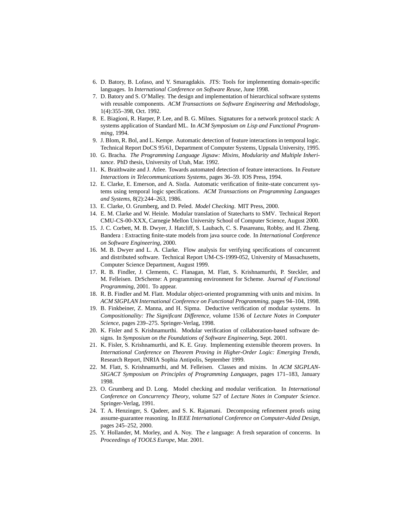- 6. D. Batory, B. Lofaso, and Y. Smaragdakis. JTS: Tools for implementing domain-specific languages. In *International Conference on Software Reuse*, June 1998.
- 7. D. Batory and S. O'Malley. The design and implementation of hierarchical software systems with reusable components. *ACM Transactions on Software Engineering and Methodology*, 1(4):355–398, Oct. 1992.
- 8. E. Biagioni, R. Harper, P. Lee, and B. G. Milnes. Signatures for a network protocol stack: A systems application of Standard ML. In *ACM Symposium on Lisp and Functional Programming*, 1994.
- 9. J. Blom, R. Bol, and L. Kempe. Automatic detection of feature interactions in temporal logic. Technical Report DoCS 95/61, Department of Computer Systems, Uppsala University, 1995.
- 10. G. Bracha. *The Programming Language Jigsaw: Mixins, Modularity and Multiple Inheritance*. PhD thesis, University of Utah, Mar. 1992.
- 11. K. Braithwaite and J. Atlee. Towards automated detection of feature interactions. In *Feature Interactions in Telecommunications Systems*, pages 36–59. IOS Press, 1994.
- 12. E. Clarke, E. Emerson, and A. Sistla. Automatic verification of finite-state concurrent systems using temporal logic specifications. *ACM Transactions on Programming Languages and Systems*, 8(2):244–263, 1986.
- 13. E. Clarke, O. Grumberg, and D. Peled. *Model Checking*. MIT Press, 2000.
- 14. E. M. Clarke and W. Heinle. Modular translation of Statecharts to SMV. Technical Report CMU-CS-00-XXX, Carnegie Mellon University School of Computer Science, August 2000.
- 15. J. C. Corbett, M. B. Dwyer, J. Hatcliff, S. Laubach, C. S. Pasareanu, Robby, and H. Zheng. Bandera : Extracting finite-state models from java source code. In *International Conference on Software Engineering*, 2000.
- 16. M. B. Dwyer and L. A. Clarke. Flow analysis for verifying specifications of concurrent and distributed software. Technical Report UM-CS-1999-052, University of Massachusetts, Computer Science Department, August 1999.
- 17. R. B. Findler, J. Clements, C. Flanagan, M. Flatt, S. Krishnamurthi, P. Steckler, and M. Felleisen. DrScheme: A programming environment for Scheme. *Journal of Functional Programming*, 2001. To appear.
- 18. R. B. Findler and M. Flatt. Modular object-oriented programming with units and mixins. In *ACM SIGPLAN International Conference on Functional Programming*, pages 94–104, 1998.
- 19. B. Finkbeiner, Z. Manna, and H. Sipma. Deductive verification of modular systems. In *Compositionality: The Significant Difference*, volume 1536 of *Lecture Notes in Computer Science*, pages 239–275. Springer-Verlag, 1998.
- 20. K. Fisler and S. Krishnamurthi. Modular verification of collaboration-based software designs. In *Symposium on the Foundations of Software Engineering*, Sept. 2001.
- 21. K. Fisler, S. Krishnamurthi, and K. E. Gray. Implementing extensible theorem provers. In *International Conference on Theorem Proving in Higher-Order Logic: Emerging Trends*, Research Report, INRIA Sophia Antipolis, September 1999.
- 22. M. Flatt, S. Krishnamurthi, and M. Felleisen. Classes and mixins. In *ACM SIGPLAN-SIGACT Symposium on Principles of Programming Languages*, pages 171–183, January 1998.
- 23. O. Grumberg and D. Long. Model checking and modular verification. In *International Conference on Concurrency Theory*, volume 527 of *Lecture Notes in Computer Science*. Springer-Verlag, 1991.
- 24. T. A. Henzinger, S. Qadeer, and S. K. Rajamani. Decomposing refinement proofs using assume-guarantee reasoning. In *IEEE International Conference on Computer-Aided Design*, pages 245–252, 2000.
- 25. Y. Hollander, M. Morley, and A. Noy. The *e* language: A fresh separation of concerns. In *Proceedings of TOOLS Europe*, Mar. 2001.